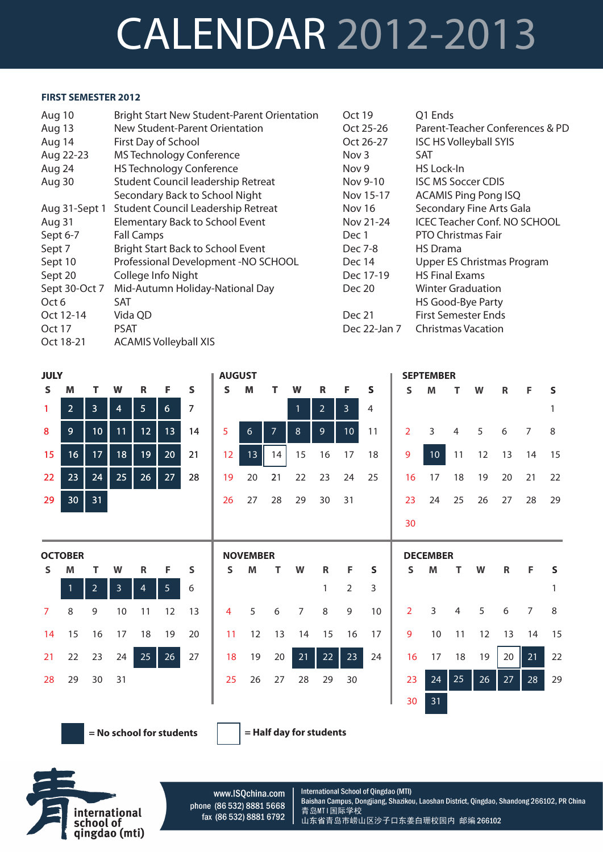## CALENDAR 2012-2013

## **FIRST SEMESTER 2012**

| Aug 10        | <b>Bright Start New Student-Parent Orientation</b> | Oct 19       | Q1 Ends                             |
|---------------|----------------------------------------------------|--------------|-------------------------------------|
| Aug 13        | New Student-Parent Orientation                     | Oct 25-26    | Parent-Teacher Conferences & PD     |
| Aug 14        | First Day of School                                | Oct 26-27    | <b>ISC HS Volleyball SYIS</b>       |
| Aug 22-23     | <b>MS Technology Conference</b>                    | Nov 3        | SAT                                 |
| Aug 24        | <b>HS Technology Conference</b>                    | Nov 9        | HS Lock-In                          |
| Aug 30        | Student Council leadership Retreat                 | Nov 9-10     | <b>ISC MS Soccer CDIS</b>           |
|               | Secondary Back to School Night                     | Nov 15-17    | <b>ACAMIS Ping Pong ISQ</b>         |
| Aug 31-Sept 1 | <b>Student Council Leadership Retreat</b>          | Nov 16       | Secondary Fine Arts Gala            |
| Aug 31        | Elementary Back to School Event                    | Nov 21-24    | <b>ICEC Teacher Conf. NO SCHOOL</b> |
| Sept 6-7      | <b>Fall Camps</b>                                  | Dec 1        | PTO Christmas Fair                  |
| Sept 7        | <b>Bright Start Back to School Event</b>           | Dec 7-8      | <b>HS</b> Drama                     |
| Sept 10       | Professional Development -NO SCHOOL                | Dec 14       | Upper ES Christmas Program          |
| Sept 20       | College Info Night                                 | Dec 17-19    | <b>HS Final Exams</b>               |
| Sept 30-Oct 7 | Mid-Autumn Holiday-National Day                    | Dec 20       | <b>Winter Graduation</b>            |
| Oct 6         | SAT                                                |              | HS Good-Bye Party                   |
| Oct 12-14     | Vida QD                                            | Dec 21       | <b>First Semester Ends</b>          |
| Oct 17        | <b>PSAT</b>                                        | Dec 22-Jan 7 | <b>Christmas Vacation</b>           |
| Oct 18-21     | <b>ACAMIS Volleyball XIS</b>                       |              |                                     |

| <b>JULY</b>    |                 |                |                |                |                |                | <b>AUGUST</b>  |                 |                |              |                |                 |                |                | <b>SEPTEMBER</b> |    |    |    |                |              |
|----------------|-----------------|----------------|----------------|----------------|----------------|----------------|----------------|-----------------|----------------|--------------|----------------|-----------------|----------------|----------------|------------------|----|----|----|----------------|--------------|
| $\mathsf{s}$   | M               | т              | W              | R              | F              | S              | $\mathsf{s}$   | M               | т              | W            | R              | F               | $\mathsf{s}$   | S.             | M                | т  | W  | R  | F              | $\mathsf{s}$ |
| $\mathbf{1}$   | $\overline{2}$  | $\overline{3}$ | $\overline{4}$ | 5 <sub>1</sub> | $6\phantom{a}$ | $\overline{7}$ |                |                 |                | $\mathbf{1}$ | 2 <sup>1</sup> | $\overline{3}$  | $\overline{4}$ |                |                  |    |    |    |                | 1            |
| 8              | $\overline{9}$  | 10             | 11             | 12             | 13             | 14             | 5              | 6               | $\overline{7}$ | 8            | $\overline{9}$ | 10 <sup>°</sup> | 11             | 2              | 3                | 4  | 5  | 6  | 7              | 8            |
| 15             | 16              | 17             | 18             | 19             | 20             | 21             | 12             | 13              | 14             | 15           | 16             | 17              | 18             | 9              | 10               | 11 | 12 | 13 | 14             | 15           |
| 22             | 23              | 24             | 25             | 26             | 27             | 28             | 19             | 20              | 21             | 22           | 23             | 24              | 25             | 16             | 17               | 18 | 19 | 20 | 21             | 22           |
| 29             | 30 <sub>o</sub> | 31             |                |                |                |                | 26             | 27              | 28             | 29           | 30             | 31              |                | 23             | 24               | 25 | 26 | 27 | 28             | 29           |
|                |                 |                |                |                |                |                |                |                 |                |              |                |                 |                | 30             |                  |    |    |    |                |              |
|                |                 |                |                |                |                |                |                |                 |                |              |                |                 |                |                |                  |    |    |    |                |              |
|                | <b>OCTOBER</b>  |                |                |                |                |                |                | <b>NOVEMBER</b> |                |              |                |                 |                |                | <b>DECEMBER</b>  |    |    |    |                |              |
| S.             | M               | т              | W              | R              | F.             | S              | S              | M               | т              | W            | R              | F.              | S              | S              | M                | т  | W  | R  | F              | S            |
|                | $\overline{1}$  | $\overline{2}$ | $\overline{3}$ | $\overline{4}$ | 5 <sup>1</sup> | 6              |                |                 |                |              | 1              | $\overline{2}$  | 3              |                |                  |    |    |    |                | 1            |
| $\overline{7}$ | 8               | 9              | 10             | 11             | 12             | 13             | $\overline{4}$ | 5               | 6              | 7            | 8              | 9               | 10             | $\overline{2}$ | 3                | 4  | 5  | 6  | $\overline{7}$ | 8            |
| 14             | 15              | 16             | 17             | 18             | 19             | 20             | 11             | 12              | 13             | 14           | 15             | 16              | 17             | 9              | 10               | 11 | 12 | 13 | 14             | 15           |
| 21             | 22              | 23             | 24             | 25             | 26             | 27             | 18             | 19              | 20             | 21           | 22             | 23              | 24             | 16             | 17               | 18 | 19 | 20 | 21             | 22           |
| 28             | 29              | 30             | 31             |                |                |                | 25             | 26              | 27             | 28           | 29             | 30              |                | 23             | 24               | 25 | 26 | 27 | 28             | 29           |
|                |                 |                |                |                |                |                |                |                 |                |              |                |                 |                | 30             | 31               |    |    |    |                |              |

**= No school for students = Half day for students**



www.ISQchina.com phone (86 532) 8881 5668 fax (86 532) 8881 6792

International School of Qingdao (MTI) Baishan Campus, Dongjiang, Shazikou, Laoshan District, Qingdao, Shandong 266102, PR China 青岛MTI国际学校 山东省青岛市崂山区沙子口东姜白珊校园内 邮编 266102